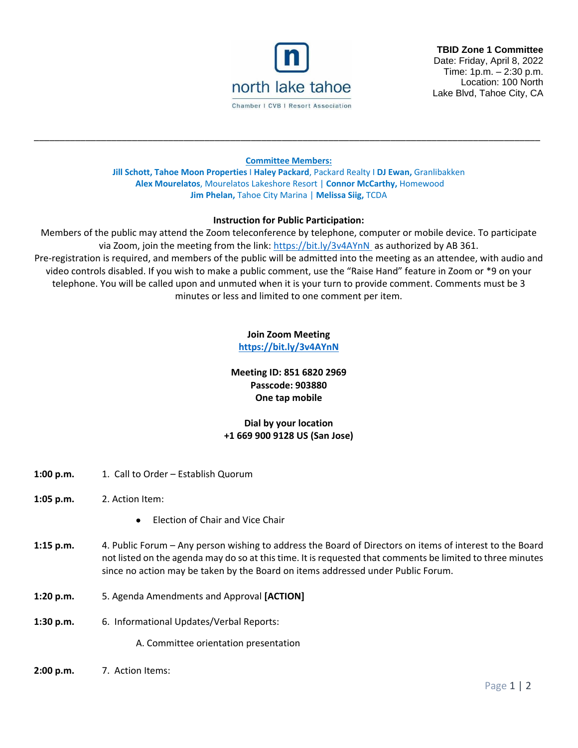

**TBID Zone 1 Committee** Date: Friday, April 8, 2022 Time: 1p.m. – 2:30 p.m. Location: 100 North Lake Blvd, Tahoe City, CA

### **Committee Members:**

\_\_\_\_\_\_\_\_\_\_\_\_\_\_\_\_\_\_\_\_\_\_\_\_\_\_\_\_\_\_\_\_\_\_\_\_\_\_\_\_\_\_\_\_\_\_\_\_\_\_\_\_\_\_\_\_\_\_\_\_\_\_\_\_\_\_\_\_\_\_\_\_\_\_\_\_\_\_\_\_\_\_\_\_\_\_\_\_\_\_\_\_\_\_\_\_\_\_

**Jill Schott, Tahoe Moon Properties** I **Haley Packard**, Packard Realty I **DJ Ewan,** Granlibakken **Alex Mourelatos**, Mourelatos Lakeshore Resort | **Connor McCarthy,** Homewood **Jim Phelan,** Tahoe City Marina | **Melissa Siig,** TCDA

#### **Instruction for Public Participation:**

Members of the public may attend the Zoom teleconference by telephone, computer or mobile device. To participate via Zoom, join the meeting from the link:<https://bit.ly/3v4AYnN> as authorized by AB 361. Pre-registration is required, and members of the public will be admitted into the meeting as an attendee, with audio and video controls disabled. If you wish to make a public comment, use the "Raise Hand" feature in Zoom or \*9 on your telephone. You will be called upon and unmuted when it is your turn to provide comment. Comments must be 3 minutes or less and limited to one comment per item.

## **Join Zoom Meeting**

**<https://bit.ly/3v4AYnN>**

## **Meeting ID: 851 6820 2969 Passcode: 903880 One tap mobile**

# **Dial by your location +1 669 900 9128 US (San Jose)**

- **1:00 p.m.** 1. Call to Order Establish Quorum
- **1:05 p.m.** 2. Action Item:
	- Election of Chair and Vice Chair
- **1:15 p.m.** 4. Public Forum Any person wishing to address the Board of Directors on items of interest to the Board not listed on the agenda may do so at this time. It is requested that comments be limited to three minutes since no action may be taken by the Board on items addressed under Public Forum.
- **1:20 p.m.** 5. Agenda Amendments and Approval **[ACTION]**
- **1:30 p.m.** 6. Informational Updates/Verbal Reports:

A. Committee orientation presentation

**2:00 p.m.** 7. Action Items: